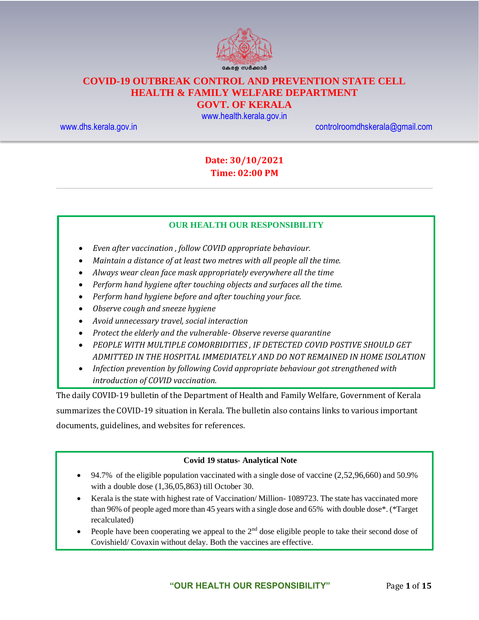

# **COVID-19 OUTBREAK CONTROL AND PREVENTION STATE CELL HEALTH & FAMILY WELFARE DEPARTMENT**

## **GOVT. OF KERALA**

[www.health.kerala.gov.in](file:///D:/My%20Documents/Mahesh%20-%20Dont%20Delete/Assistant%20Surgeon/Aardram%20Mission/Projects/COVID%20Control%20Room/Bulletin%20Format%20New/www.health.kerala.gov.in)

[www.dhs.kerala.gov.in](http://www.dhs.kerala.gov.in/) [controlroomdhskerala@gmail.com](mailto:controlroomdhskerala@gmail.com)

## **Date: 30/10/2021 Time: 02:00 PM**

#### **OUR HEALTH OUR RESPONSIBILITY**

- *Even after vaccination , follow COVID appropriate behaviour.*
- *Maintain a distance of at least two metres with all people all the time.*
- *Always wear clean face mask appropriately everywhere all the time*
- *Perform hand hygiene after touching objects and surfaces all the time.*
- *Perform hand hygiene before and after touching your face.*
- *Observe cough and sneeze hygiene*
- *Avoid unnecessary travel, social interaction*
- *Protect the elderly and the vulnerable- Observe reverse quarantine*
- *PEOPLE WITH MULTIPLE COMORBIDITIES , IF DETECTED COVID POSTIVE SHOULD GET ADMITTED IN THE HOSPITAL IMMEDIATELY AND DO NOT REMAINED IN HOME ISOLATION*
- *Infection prevention by following Covid appropriate behaviour got strengthened with introduction of COVID vaccination.*

The daily COVID-19 bulletin of the Department of Health and Family Welfare, Government of Kerala summarizes the COVID-19 situation in Kerala. The bulletin also contains links to various important documents, guidelines, and websites for references.

#### **Covid 19 status- Analytical Note**

- 94.7% of the eligible population vaccinated with a single dose of vaccine  $(2,52,96,660)$  and  $50.9\%$ with a double dose (1,36,05,863) till October 30.
- Kerala is the state with highest rate of Vaccination/ Million- 1089723. The state has vaccinated more than 96% of people aged more than 45 years with a single dose and 65% with double dose\*. (\*Target recalculated)
- People have been cooperating we appeal to the 2<sup>nd</sup> dose eligible people to take their second dose of Covishield/ Covaxin without delay. Both the vaccines are effective.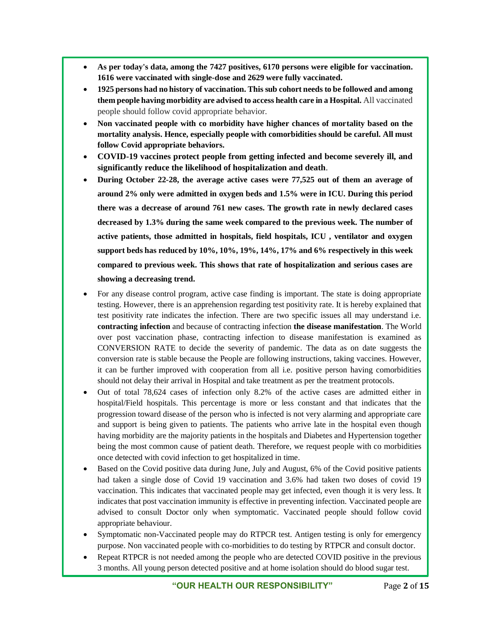- **As per today's data, among the 7427 positives, 6170 persons were eligible for vaccination. 1616 were vaccinated with single-dose and 2629 were fully vaccinated.**
- **1925 persons had no history of vaccination. This sub cohort needs to be followed and among them people having morbidity are advised to access health care in a Hospital.** All vaccinated people should follow covid appropriate behavior.
- **Non vaccinated people with co morbidity have higher chances of mortality based on the mortality analysis. Hence, especially people with comorbidities should be careful. All must follow Covid appropriate behaviors.**
- **COVID-19 vaccines protect people from getting infected and become severely ill, and significantly reduce the likelihood of hospitalization and death**.
- **During October 22-28, the average active cases were 77,525 out of them an average of around 2% only were admitted in oxygen beds and 1.5% were in ICU. During this period there was a decrease of around 761 new cases. The growth rate in newly declared cases decreased by 1.3% during the same week compared to the previous week. The number of active patients, those admitted in hospitals, field hospitals, ICU , ventilator and oxygen support beds has reduced by 10%, 10%, 19%, 14%, 17% and 6% respectively in this week compared to previous week. This shows that rate of hospitalization and serious cases are showing a decreasing trend.**
- For any disease control program, active case finding is important. The state is doing appropriate testing. However, there is an apprehension regarding test positivity rate. It is hereby explained that test positivity rate indicates the infection. There are two specific issues all may understand i.e. **contracting infection** and because of contracting infection **the disease manifestation**. The World over post vaccination phase, contracting infection to disease manifestation is examined as CONVERSION RATE to decide the severity of pandemic. The data as on date suggests the conversion rate is stable because the People are following instructions, taking vaccines. However, it can be further improved with cooperation from all i.e. positive person having comorbidities should not delay their arrival in Hospital and take treatment as per the treatment protocols.
- Out of total 78,624 cases of infection only 8.2% of the active cases are admitted either in hospital/Field hospitals. This percentage is more or less constant and that indicates that the progression toward disease of the person who is infected is not very alarming and appropriate care and support is being given to patients. The patients who arrive late in the hospital even though having morbidity are the majority patients in the hospitals and Diabetes and Hypertension together being the most common cause of patient death. Therefore, we request people with co morbidities once detected with covid infection to get hospitalized in time.
- Based on the Covid positive data during June, July and August, 6% of the Covid positive patients had taken a single dose of Covid 19 vaccination and 3.6% had taken two doses of covid 19 vaccination. This indicates that vaccinated people may get infected, even though it is very less. It indicates that post vaccination immunity is effective in preventing infection. Vaccinated people are advised to consult Doctor only when symptomatic. Vaccinated people should follow covid appropriate behaviour.
- Symptomatic non-Vaccinated people may do RTPCR test. Antigen testing is only for emergency purpose. Non vaccinated people with co-morbidities to do testing by RTPCR and consult doctor.
- Repeat RTPCR is not needed among the people who are detected COVID positive in the previous 3 months. All young person detected positive and at home isolation should do blood sugar test.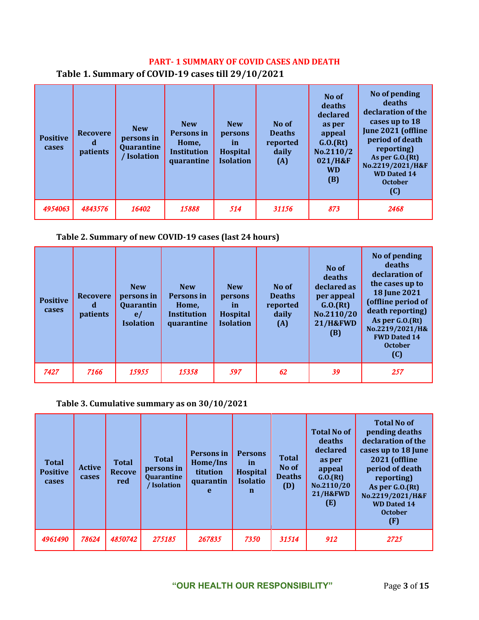## **PART- 1 SUMMARY OF COVID CASES AND DEATH**

| <b>Positive</b><br>cases | <b>Recovere</b><br>patients | <b>New</b><br>persons in<br>Quarantine<br>Isolation | <b>New</b><br>Persons in<br>Home,<br><b>Institution</b><br>quarantine | <b>New</b><br>persons<br>in<br><b>Hospital</b><br><b>Isolation</b> | No of<br><b>Deaths</b><br>reported<br>daily<br>(A) | No of<br>deaths<br>declared<br>as per<br>appeal<br>G.0.(Rt)<br>No.2110/2<br>021/H&F<br><b>WD</b><br>(B) | No of pending<br>deaths<br>declaration of the<br>cases up to 18<br>June 2021 (offline<br>period of death<br>reporting)<br>As per $G.0(Ft)$<br>No.2219/2021/H&F<br><b>WD Dated 14</b><br><b>October</b><br>(C) |
|--------------------------|-----------------------------|-----------------------------------------------------|-----------------------------------------------------------------------|--------------------------------------------------------------------|----------------------------------------------------|---------------------------------------------------------------------------------------------------------|---------------------------------------------------------------------------------------------------------------------------------------------------------------------------------------------------------------|
| 4954063                  | 4843576                     | 16402                                               | 15888                                                                 | 514                                                                | 31156                                              | 873                                                                                                     | 2468                                                                                                                                                                                                          |

## **Table 1. Summary of COVID-19 cases till 29/10/2021**

### **Table 2. Summary of new COVID-19 cases (last 24 hours)**

| <b>Positive</b><br>cases | <b>Recovere</b><br>d<br>patients | <b>New</b><br>persons in<br>Quarantin<br>e/<br><b>Isolation</b> | <b>New</b><br>Persons in<br>Home,<br>Institution<br>quarantine | <b>New</b><br>persons<br>-in<br>Hospital<br><b>Isolation</b> | No of<br><b>Deaths</b><br>reported<br>daily<br>(A) | No of<br>deaths<br>declared as<br>per appeal<br>G.0.(Rt)<br>No.2110/20<br><b>21/H&amp;FWD</b><br>(B) | No of pending<br>deaths<br>declaration of<br>the cases up to<br><b>18 June 2021</b><br>(offline period of<br>death reporting)<br>As per G.O.(Rt)<br>No.2219/2021/H&<br><b>FWD Dated 14</b><br><b>October</b><br>(C) |
|--------------------------|----------------------------------|-----------------------------------------------------------------|----------------------------------------------------------------|--------------------------------------------------------------|----------------------------------------------------|------------------------------------------------------------------------------------------------------|---------------------------------------------------------------------------------------------------------------------------------------------------------------------------------------------------------------------|
| 7427                     | 7166                             | 15955                                                           | 15358                                                          | 597                                                          | 62                                                 | 39                                                                                                   | 257                                                                                                                                                                                                                 |

## **Table 3. Cumulative summary as on 30/10/2021**

| <b>Total</b><br><b>Positive</b><br>cases | <b>Active</b><br>cases | <b>Total</b><br><b>Recove</b><br>red | <b>Total</b><br>persons in<br><b>Quarantine</b><br>Isolation | Persons in<br>Home/Ins<br>titution<br>quarantin<br>$\mathbf{e}$ | <b>Persons</b><br><i>in</i><br><b>Hospital</b><br><b>Isolatio</b><br>n | <b>Total</b><br>No of<br><b>Deaths</b><br>(D) | <b>Total No of</b><br>deaths<br>declared<br>as per<br>appeal<br>G.0.(Rt)<br>No.2110/20<br><b>21/H&amp;FWD</b><br>(E) | <b>Total No of</b><br>pending deaths<br>declaration of the<br>cases up to 18 June<br>2021 (offline<br>period of death<br>reporting)<br>As per G.O.(Rt)<br>No.2219/2021/H&F<br><b>WD Dated 14</b><br><b>October</b><br>(F) |
|------------------------------------------|------------------------|--------------------------------------|--------------------------------------------------------------|-----------------------------------------------------------------|------------------------------------------------------------------------|-----------------------------------------------|----------------------------------------------------------------------------------------------------------------------|---------------------------------------------------------------------------------------------------------------------------------------------------------------------------------------------------------------------------|
| 4961490                                  | 78624                  | 4850742                              | 275185                                                       | 267835                                                          | 7350                                                                   | 31514                                         | 912                                                                                                                  | 2725                                                                                                                                                                                                                      |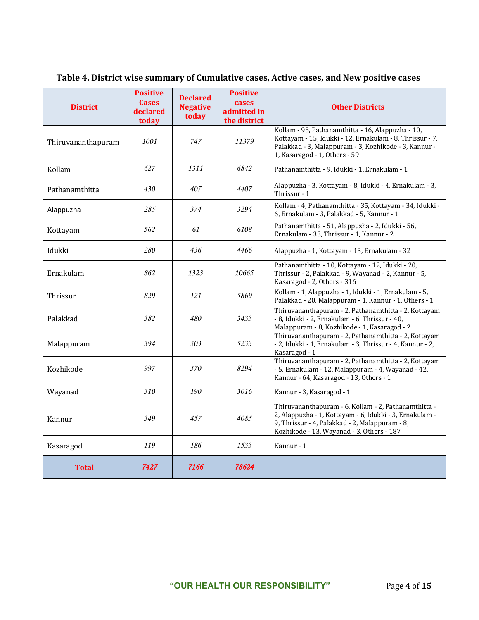| <b>District</b>    | <b>Positive</b><br><b>Cases</b><br>declared<br>today | <b>Declared</b><br><b>Negative</b><br>today | <b>Positive</b><br>cases<br>admitted in<br>the district | <b>Other Districts</b>                                                                                                                                                                                         |
|--------------------|------------------------------------------------------|---------------------------------------------|---------------------------------------------------------|----------------------------------------------------------------------------------------------------------------------------------------------------------------------------------------------------------------|
| Thiruvananthapuram | 1001                                                 | 747                                         | 11379                                                   | Kollam - 95, Pathanamthitta - 16, Alappuzha - 10,<br>Kottayam - 15, Idukki - 12, Ernakulam - 8, Thrissur - 7,<br>Palakkad - 3, Malappuram - 3, Kozhikode - 3, Kannur -<br>1, Kasaragod - 1, Others - 59        |
| Kollam             | 627                                                  | 1311                                        | 6842                                                    | Pathanamthitta - 9, Idukki - 1, Ernakulam - 1                                                                                                                                                                  |
| Pathanamthitta     | 430                                                  | 407                                         | 4407                                                    | Alappuzha - 3, Kottayam - 8, Idukki - 4, Ernakulam - 3,<br>Thrissur - 1                                                                                                                                        |
| Alappuzha          | 285                                                  | 374                                         | 3294                                                    | Kollam - 4, Pathanamthitta - 35, Kottayam - 34, Idukki -<br>6, Ernakulam - 3, Palakkad - 5, Kannur - 1                                                                                                         |
| Kottayam           | 562                                                  | 61                                          | 6108                                                    | Pathanamthitta - 51, Alappuzha - 2, Idukki - 56,<br>Ernakulam - 33, Thrissur - 1, Kannur - 2                                                                                                                   |
| Idukki             | 280                                                  | 436                                         | 4466                                                    | Alappuzha - 1, Kottayam - 13, Ernakulam - 32                                                                                                                                                                   |
| Ernakulam          | 862                                                  | 1323                                        | 10665                                                   | Pathanamthitta - 10, Kottayam - 12, Idukki - 20,<br>Thrissur - 2, Palakkad - 9, Wayanad - 2, Kannur - 5,<br>Kasaragod - 2, Others - 316                                                                        |
| Thrissur           | 829                                                  | 121                                         | 5869                                                    | Kollam - 1, Alappuzha - 1, Idukki - 1, Ernakulam - 5,<br>Palakkad - 20, Malappuram - 1, Kannur - 1, Others - 1                                                                                                 |
| Palakkad           | 382                                                  | 480                                         | 3433                                                    | Thiruvananthapuram - 2, Pathanamthitta - 2, Kottayam<br>- 8, Idukki - 2, Ernakulam - 6, Thrissur - 40,<br>Malappuram - 8, Kozhikode - 1, Kasaragod - 2                                                         |
| Malappuram         | 394                                                  | 503                                         | 5233                                                    | Thiruvananthapuram - 2, Pathanamthitta - 2, Kottayam<br>- 2, Idukki - 1, Ernakulam - 3, Thrissur - 4, Kannur - 2,<br>Kasaragod - 1                                                                             |
| Kozhikode          | 997                                                  | 570                                         | 8294                                                    | Thiruvananthapuram - 2, Pathanamthitta - 2, Kottayam<br>- 5, Ernakulam - 12, Malappuram - 4, Wayanad - 42,<br>Kannur - 64, Kasaragod - 13, Others - 1                                                          |
| Wayanad            | 310                                                  | 190                                         | 3016                                                    | Kannur - 3, Kasaragod - 1                                                                                                                                                                                      |
| Kannur             | 349                                                  | 457                                         | 4085                                                    | Thiruvananthapuram - 6, Kollam - 2, Pathanamthitta -<br>2, Alappuzha - 1, Kottayam - 6, Idukki - 3, Ernakulam -<br>9, Thrissur - 4, Palakkad - 2, Malappuram - 8,<br>Kozhikode - 13, Wayanad - 3, Others - 187 |
| Kasaragod          | 119                                                  | 186                                         | 1533                                                    | Kannur - 1                                                                                                                                                                                                     |
| <b>Total</b>       | 7427                                                 | 7166                                        | 78624                                                   |                                                                                                                                                                                                                |

## **Table 4. District wise summary of Cumulative cases, Active cases, and New positive cases**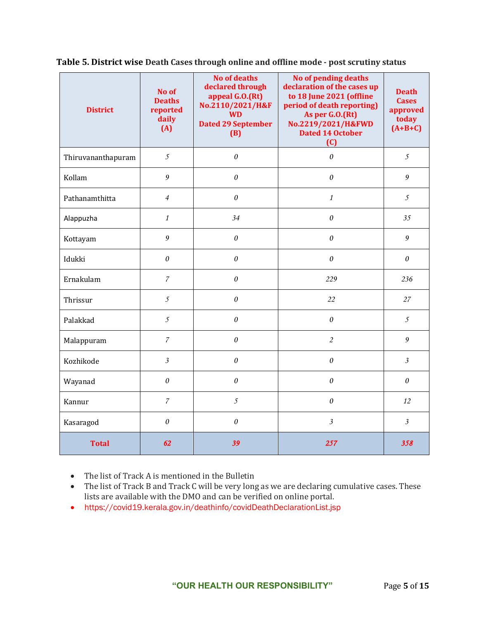| <b>District</b>    | No of<br><b>Deaths</b><br>reported<br>daily<br>(A) | <b>No of deaths</b><br>declared through<br>appeal G.O.(Rt)<br>No.2110/2021/H&F<br><b>WD</b><br><b>Dated 29 September</b><br>(B) | No of pending deaths<br>declaration of the cases up<br>to 18 June 2021 (offline<br>period of death reporting)<br>As per G.O.(Rt)<br>No.2219/2021/H&FWD<br><b>Dated 14 October</b><br>(C) | <b>Death</b><br><b>Cases</b><br>approved<br>today<br>$(A+B+C)$ |
|--------------------|----------------------------------------------------|---------------------------------------------------------------------------------------------------------------------------------|------------------------------------------------------------------------------------------------------------------------------------------------------------------------------------------|----------------------------------------------------------------|
| Thiruvananthapuram | $\mathfrak{I}$                                     | $\theta$                                                                                                                        | $\theta$                                                                                                                                                                                 | $\mathfrak{I}$                                                 |
| Kollam             | $\mathfrak g$                                      | $\theta$                                                                                                                        | $\theta$                                                                                                                                                                                 | 9                                                              |
| Pathanamthitta     | $\overline{4}$                                     | $\theta$                                                                                                                        | $\mathbf{1}$                                                                                                                                                                             | $\mathfrak{I}$                                                 |
| Alappuzha          | $\mathbf{1}$                                       | 34                                                                                                                              | $\theta$                                                                                                                                                                                 | 35                                                             |
| Kottayam           | $\mathfrak g$                                      | $\theta$                                                                                                                        | 0                                                                                                                                                                                        | 9                                                              |
| Idukki             | 0                                                  | $\theta$                                                                                                                        | $\theta$                                                                                                                                                                                 | $\theta$                                                       |
| Ernakulam          | $\overline{7}$                                     | $\boldsymbol{\theta}$                                                                                                           | 229                                                                                                                                                                                      | 236                                                            |
| Thrissur           | $\mathfrak{I}$                                     | 0                                                                                                                               | 22                                                                                                                                                                                       | 27                                                             |
| Palakkad           | $\mathfrak{I}$                                     | 0                                                                                                                               | $\theta$                                                                                                                                                                                 | 5                                                              |
| Malappuram         | $\boldsymbol{7}$                                   | 0                                                                                                                               | $\overline{2}$                                                                                                                                                                           | 9                                                              |
| Kozhikode          | $\mathfrak{Z}$                                     | 0                                                                                                                               | $\theta$                                                                                                                                                                                 | $\mathfrak{Z}$                                                 |
| Wayanad            | $\theta$                                           | 0                                                                                                                               | $\theta$                                                                                                                                                                                 | $\boldsymbol{\theta}$                                          |
| Kannur             | $\boldsymbol{7}$                                   | $\mathfrak{I}$                                                                                                                  | $\theta$                                                                                                                                                                                 | 12                                                             |
| Kasaragod          | $\theta$                                           | $\theta$                                                                                                                        | $\mathfrak{Z}$                                                                                                                                                                           | $\mathfrak{Z}$                                                 |
| <b>Total</b>       | 62                                                 | 39                                                                                                                              | 257                                                                                                                                                                                      | 358                                                            |

**Table 5. District wise Death Cases through online and offline mode - post scrutiny status**

• The list of Track A is mentioned in the Bulletin

- The list of Track B and Track C will be very long as we are declaring cumulative cases. These lists are available with the DMO and can be verified on online portal.
- https://covid19.kerala.gov.in/deathinfo/covidDeathDeclarationList.jsp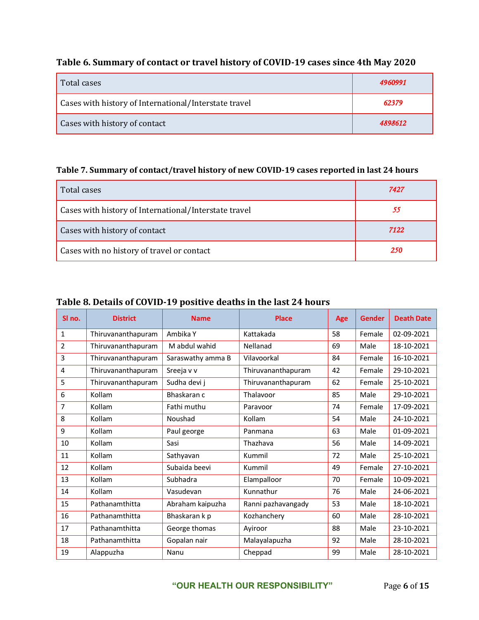## **Table 6. Summary of contact or travel history of COVID-19 cases since 4th May 2020**

| Total cases                                           | 4960991 |
|-------------------------------------------------------|---------|
| Cases with history of International/Interstate travel | 62379   |
| Cases with history of contact                         | 4898612 |

## **Table 7. Summary of contact/travel history of new COVID-19 cases reported in last 24 hours**

| Total cases                                           | 7427 |
|-------------------------------------------------------|------|
| Cases with history of International/Interstate travel | 55   |
| Cases with history of contact                         | 7122 |
| Cases with no history of travel or contact            | 250  |

## **Table 8. Details of COVID-19 positive deaths in the last 24 hours**

| SI no.       | <b>District</b>    | <b>Name</b>       | <b>Place</b>       | Age | <b>Gender</b> | <b>Death Date</b> |
|--------------|--------------------|-------------------|--------------------|-----|---------------|-------------------|
| $\mathbf{1}$ | Thiruvananthapuram | Ambika Y          | Kattakada          | 58  | Female        | 02-09-2021        |
| 2            | Thiruvananthapuram | M abdul wahid     | Nellanad           | 69  | Male          | 18-10-2021        |
| 3            | Thiruvananthapuram | Saraswathy amma B | Vilavoorkal        | 84  | Female        | 16-10-2021        |
| 4            | Thiruvananthapuram | Sreeja v v        | Thiruvananthapuram | 42  | Female        | 29-10-2021        |
| 5            | Thiruvananthapuram | Sudha devi j      | Thiruvananthapuram | 62  | Female        | 25-10-2021        |
| 6            | Kollam             | Bhaskaran c       | Thalavoor          | 85  | Male          | 29-10-2021        |
| 7            | Kollam             | Fathi muthu       | Paravoor           | 74  | Female        | 17-09-2021        |
| 8            | Kollam             | Noushad           | Kollam             | 54  | Male          | 24-10-2021        |
| 9            | Kollam             | Paul george       | Panmana            | 63  | Male          | 01-09-2021        |
| 10           | Kollam             | Sasi              | Thazhava           | 56  | Male          | 14-09-2021        |
| 11           | Kollam             | Sathyavan         | Kummil             | 72  | Male          | 25-10-2021        |
| 12           | Kollam             | Subaida beevi     | Kummil             | 49  | Female        | 27-10-2021        |
| 13           | Kollam             | Subhadra          | Elampalloor        | 70  | Female        | 10-09-2021        |
| 14           | Kollam             | Vasudevan         | Kunnathur          | 76  | Male          | 24-06-2021        |
| 15           | Pathanamthitta     | Abraham kaipuzha  | Ranni pazhavangady | 53  | Male          | 18-10-2021        |
| 16           | Pathanamthitta     | Bhaskaran k p     | Kozhanchery        | 60  | Male          | 28-10-2021        |
| 17           | Pathanamthitta     | George thomas     | Ayiroor            | 88  | Male          | 23-10-2021        |
| 18           | Pathanamthitta     | Gopalan nair      | Malayalapuzha      | 92  | Male          | 28-10-2021        |
| 19           | Alappuzha          | Nanu              | Cheppad            | 99  | Male          | 28-10-2021        |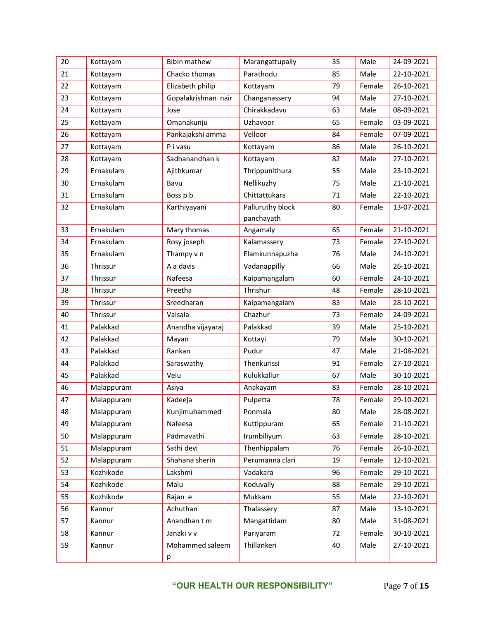| 20 | Kottayam   | <b>Bibin mathew</b> | Marangattupally  | 35 | Male   | 24-09-2021 |
|----|------------|---------------------|------------------|----|--------|------------|
| 21 | Kottayam   | Chacko thomas       | Parathodu        | 85 | Male   | 22-10-2021 |
| 22 | Kottayam   | Elizabeth philip    | Kottayam         | 79 | Female | 26-10-2021 |
| 23 | Kottayam   | Gopalakrishnan nair | Changanassery    | 94 | Male   | 27-10-2021 |
| 24 | Kottayam   | Jose                | Chirakkadavu     | 63 | Male   | 08-09-2021 |
| 25 | Kottayam   | Omanakunju          | Uzhavoor         | 65 | Female | 03-09-2021 |
| 26 | Kottayam   | Pankajakshi amma    | Velloor          | 84 | Female | 07-09-2021 |
| 27 | Kottayam   | P i vasu            | Kottayam         | 86 | Male   | 26-10-2021 |
| 28 | Kottayam   | Sadhanandhan k      | Kottayam         | 82 | Male   | 27-10-2021 |
| 29 | Ernakulam  | Ajithkumar          | Thrippunithura   | 55 | Male   | 23-10-2021 |
| 30 | Ernakulam  | Bavu                | Nellikuzhy       | 75 | Male   | 21-10-2021 |
| 31 | Ernakulam  | Boss p b            | Chittattukara    | 71 | Male   | 22-10-2021 |
| 32 | Ernakulam  | Karthiyayani        | Palluruthy block | 80 | Female | 13-07-2021 |
|    |            |                     | panchayath       |    |        |            |
| 33 | Ernakulam  | Mary thomas         | Angamaly         | 65 | Female | 21-10-2021 |
| 34 | Ernakulam  | Rosy joseph         | Kalamassery      | 73 | Female | 27-10-2021 |
| 35 | Ernakulam  | Thampy v n          | Elamkunnapuzha   | 76 | Male   | 24-10-2021 |
| 36 | Thrissur   | A a davis           | Vadanappilly     | 66 | Male   | 26-10-2021 |
| 37 | Thrissur   | Nafeesa             | Kaipamangalam    | 60 | Female | 24-10-2021 |
| 38 | Thrissur   | Preetha             | Thrishur         | 48 | Female | 28-10-2021 |
| 39 | Thrissur   | Sreedharan          | Kaipamangalam    | 83 | Male   | 28-10-2021 |
| 40 | Thrissur   | Valsala             | Chazhur          | 73 | Female | 24-09-2021 |
| 41 | Palakkad   | Anandha vijayaraj   | Palakkad         | 39 | Male   | 25-10-2021 |
| 42 | Palakkad   | Mayan               | Kottayi          | 79 | Male   | 30-10-2021 |
| 43 | Palakkad   | Rankan              | Pudur            | 47 | Male   | 21-08-2021 |
| 44 | Palakkad   | Saraswathy          | Thenkurissi      | 91 | Female | 27-10-2021 |
| 45 | Palakkad   | Velu                | Kulukkallur      | 67 | Male   | 30-10-2021 |
| 46 | Malappuram | Asiya               | Anakayam         | 83 | Female | 28-10-2021 |
| 47 | Malappuram | Kadeeja             | Pulpetta         | 78 | Female | 29-10-2021 |
| 48 | Malappuram | Kunjimuhammed       | Ponmala          | 80 | Male   | 28-08-2021 |
| 49 | Malappuram | Nafeesa             | Kuttippuram      | 65 | Female | 21-10-2021 |
| 50 | Malappuram | Padmavathi          | Irumbiliyum      | 63 | Female | 28-10-2021 |
| 51 | Malappuram | Sathi devi          | Thenhippalam     | 76 | Female | 26-10-2021 |
| 52 | Malappuram | Shahana sherin      | Perumanna clari  | 19 | Female | 12-10-2021 |
| 53 | Kozhikode  | Lakshmi             | Vadakara         | 96 | Female | 29-10-2021 |
| 54 | Kozhikode  | Malu                | Koduvally        | 88 | Female | 29-10-2021 |
| 55 | Kozhikode  | Rajan e             | Mukkam           | 55 | Male   | 22-10-2021 |
| 56 | Kannur     | Achuthan            | Thalassery       | 87 | Male   | 13-10-2021 |
| 57 | Kannur     | Anandhan t m        | Mangattidam      | 80 | Male   | 31-08-2021 |
| 58 | Kannur     | Janaki v v          | Pariyaram        | 72 | Female | 30-10-2021 |
| 59 | Kannur     | Mohammed saleem     | Thillankeri      | 40 | Male   | 27-10-2021 |
|    |            | р                   |                  |    |        |            |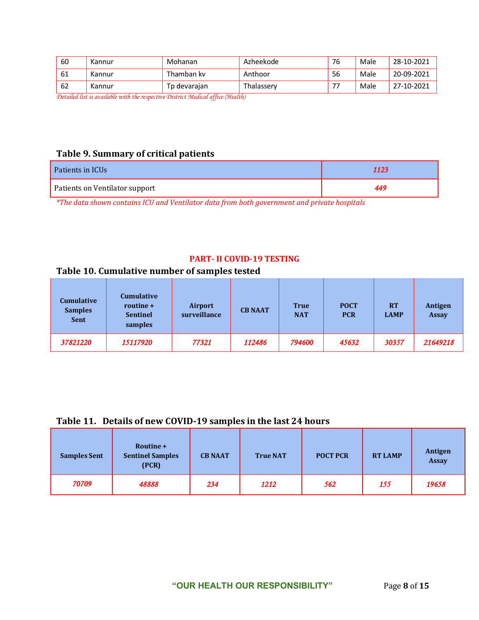| 60 | Kannur | Mohanan      | Azheekode  | 76   | Male | 28-10-2021 |
|----|--------|--------------|------------|------|------|------------|
| 61 | Kannur | Thamban kv   | Anthoor    | 56   | Male | 20-09-2021 |
| 62 | Kannur | Tp devarajan | Thalasserv | $-1$ | Male | 27-10-2021 |

*Detailed list is available with the respective District Medical office (Health)*

## **Table 9. Summary of critical patients**

| Patients in ICUs               | 1123 |
|--------------------------------|------|
| Patients on Ventilator support | 449  |

*\*The data shown contains ICU and Ventilator data from both government and private hospitals*

#### **PART- II COVID-19 TESTING**

## **Table 10. Cumulative number of samples tested**

| <b>Cumulative</b><br><b>Samples</b><br><b>Sent</b> | <b>Cumulative</b><br>routine +<br><b>Sentinel</b><br>samples | Airport<br>surveillance | <b>CB NAAT</b> | <b>True</b><br><b>NAT</b> | <b>POCT</b><br><b>PCR</b> | <b>RT</b><br><b>LAMP</b> | Antigen<br><b>Assay</b> |
|----------------------------------------------------|--------------------------------------------------------------|-------------------------|----------------|---------------------------|---------------------------|--------------------------|-------------------------|
| 37821220                                           | 15117920                                                     | 77321                   | 112486         | 794600                    | 45632                     | 30357                    | 21649218                |

#### **Table 11. Details of new COVID-19 samples in the last 24 hours**

| <b>Samples Sent</b> | Routine +<br><b>Sentinel Samples</b><br>(PCR) | <b>CB NAAT</b> | <b>True NAT</b> | <b>POCT PCR</b> | <b>RT LAMP</b> | Antigen<br><b>Assay</b> |
|---------------------|-----------------------------------------------|----------------|-----------------|-----------------|----------------|-------------------------|
| 70709               | 48888                                         | 234            | 1212            | 562             | 155            | 19658                   |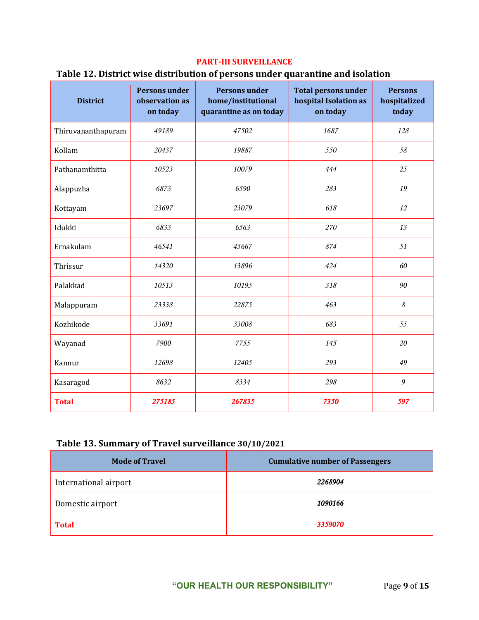#### **PART-III SURVEILLANCE**

## **Table 12. District wise distribution of persons under quarantine and isolation**

| <b>District</b>    | <b>Persons under</b><br>observation as<br>on today | <b>Persons under</b><br>home/institutional<br>quarantine as on today | <b>Total persons under</b><br>hospital Isolation as<br>on today | <b>Persons</b><br>hospitalized<br>today |
|--------------------|----------------------------------------------------|----------------------------------------------------------------------|-----------------------------------------------------------------|-----------------------------------------|
| Thiruvananthapuram | 49189                                              | 47502                                                                | 1687                                                            | 128                                     |
| Kollam             | 20437                                              | 19887                                                                | 550                                                             | 58                                      |
| Pathanamthitta     | 10523                                              | 10079                                                                | 444                                                             | 25                                      |
| Alappuzha          | 6873                                               | 6590                                                                 | 283                                                             | 19                                      |
| Kottayam           | 23697                                              | 23079                                                                | 618                                                             | 12                                      |
| Idukki             | 6833                                               | 6563                                                                 | 270                                                             | 13                                      |
| Ernakulam          | 46541                                              | 45667                                                                | 874                                                             | 51                                      |
| Thrissur           | 14320                                              | 13896                                                                | 424                                                             | 60                                      |
| Palakkad           | 10513                                              | 10195                                                                | 318                                                             | 90                                      |
| Malappuram         | 23338                                              | 22875                                                                | 463                                                             | 8                                       |
| Kozhikode          | 33691                                              | 33008                                                                | 683                                                             | 55                                      |
| Wayanad            | 7900                                               | 7755                                                                 | 145                                                             | 20                                      |
| Kannur             | 12698                                              | 12405                                                                | 293                                                             | 49                                      |
| Kasaragod          | 8632                                               | 8334                                                                 | 298                                                             | 9                                       |
| <b>Total</b>       | 275185                                             | 267835                                                               | 7350                                                            | 597                                     |

## **Table 13. Summary of Travel surveillance 30/10/2021**

| <b>Mode of Travel</b> | <b>Cumulative number of Passengers</b> |
|-----------------------|----------------------------------------|
| International airport | 2268904                                |
| Domestic airport      | 1090166                                |
| <b>Total</b>          | 3359070                                |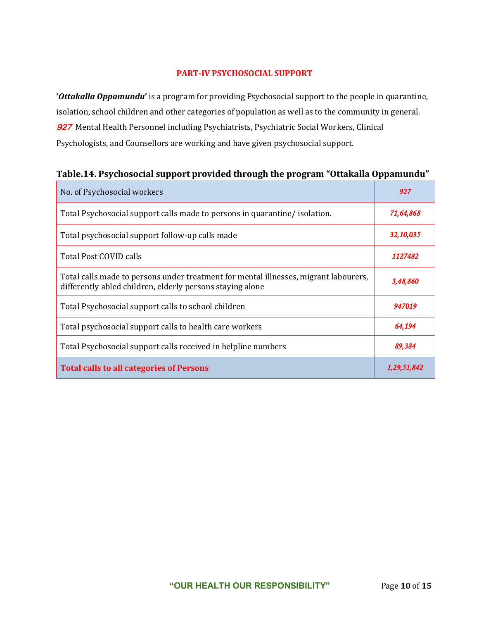#### **PART-IV PSYCHOSOCIAL SUPPORT**

**'***Ottakalla Oppamundu***'** is a program for providing Psychosocial support to the people in quarantine, isolation, school children and other categories of population as well as to the community in general. 927 Mental Health Personnel including Psychiatrists, Psychiatric Social Workers, Clinical Psychologists, and Counsellors are working and have given psychosocial support.

| No. of Psychosocial workers                                                                                                                       | 927         |
|---------------------------------------------------------------------------------------------------------------------------------------------------|-------------|
| Total Psychosocial support calls made to persons in quarantine/ isolation.                                                                        | 71,64,868   |
| Total psychosocial support follow-up calls made                                                                                                   | 32,10,035   |
| Total Post COVID calls                                                                                                                            | 1127482     |
| Total calls made to persons under treatment for mental illnesses, migrant labourers,<br>differently abled children, elderly persons staying alone | 3,48,860    |
| Total Psychosocial support calls to school children                                                                                               | 947019      |
| Total psychosocial support calls to health care workers                                                                                           | 64,194      |
| Total Psychosocial support calls received in helpline numbers                                                                                     | 89,384      |
| <b>Total calls to all categories of Persons</b>                                                                                                   | 1,29,51,842 |

## **Table.14. Psychosocial support provided through the program "Ottakalla Oppamundu"**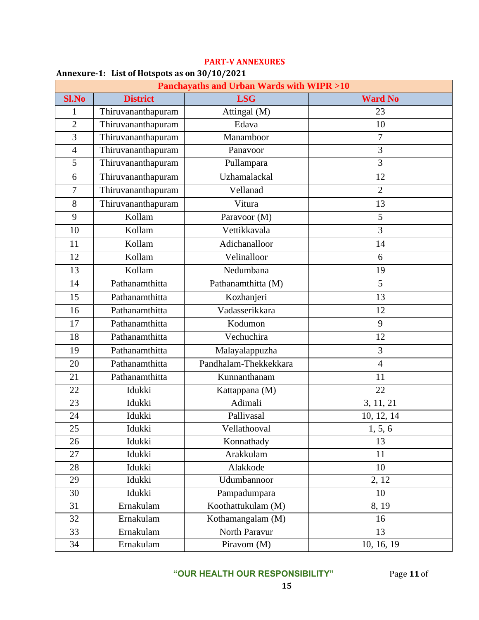| <b>Panchayaths and Urban Wards with WIPR &gt;10</b> |                    |                       |                |
|-----------------------------------------------------|--------------------|-----------------------|----------------|
| <b>Sl.No</b>                                        | <b>District</b>    | <b>LSG</b>            | <b>Ward No</b> |
| 1                                                   | Thiruvananthapuram | Attingal (M)          | 23             |
| $\overline{2}$                                      | Thiruvananthapuram | Edava                 | 10             |
| 3                                                   | Thiruvananthapuram | Manamboor             | 7              |
| $\overline{4}$                                      | Thiruvananthapuram | Panavoor              | $\overline{3}$ |
| 5                                                   | Thiruvananthapuram | Pullampara            | 3              |
| 6                                                   | Thiruvananthapuram | Uzhamalackal          | 12             |
| $\overline{7}$                                      | Thiruvananthapuram | Vellanad              | $\overline{2}$ |
| 8                                                   | Thiruvananthapuram | Vitura                | 13             |
| 9                                                   | Kollam             | Paravoor (M)          | 5              |
| 10                                                  | Kollam             | Vettikkavala          | $\overline{3}$ |
| 11                                                  | Kollam             | Adichanalloor         | 14             |
| 12                                                  | Kollam             | Velinalloor           | 6              |
| 13                                                  | Kollam             | Nedumbana             | 19             |
| 14                                                  | Pathanamthitta     | Pathanamthitta (M)    | 5              |
| 15                                                  | Pathanamthitta     | Kozhanjeri            | 13             |
| 16                                                  | Pathanamthitta     | Vadasserikkara        | 12             |
| 17                                                  | Pathanamthitta     | Kodumon               | 9              |
| 18                                                  | Pathanamthitta     | Vechuchira            | 12             |
| 19                                                  | Pathanamthitta     | Malayalappuzha        | 3              |
| 20                                                  | Pathanamthitta     | Pandhalam-Thekkekkara | $\overline{4}$ |
| 21                                                  | Pathanamthitta     | Kunnanthanam          | 11             |
| 22                                                  | Idukki             | Kattappana (M)        | 22             |
| 23                                                  | Idukki             | Adimali               | 3, 11, 21      |
| 24                                                  | Idukki             | Pallivasal            | 10, 12, 14     |
| 25                                                  | Idukki             | Vellathooval          | 1, 5, 6        |
| 26                                                  | Idukki             | Konnathady            | 13             |
| 27                                                  | Idukki             | Arakkulam             | 11             |
| 28                                                  | Idukki             | Alakkode              | 10             |
| 29                                                  | Idukki             | Udumbannoor           | 2, 12          |
| 30                                                  | Idukki             | Pampadumpara          | 10             |
| 31                                                  | Ernakulam          | Koothattukulam (M)    | 8, 19          |
| 32                                                  | Ernakulam          | Kothamangalam (M)     | 16             |
| 33                                                  | Ernakulam          | North Paravur         | 13             |
| 34                                                  | Ernakulam          | Piravom (M)           | 10, 16, 19     |

#### **PART-V ANNEXURES**

#### **Annexure-1: List of Hotspots as on 30/10/2021**

**"OUR HEALTH OUR RESPONSIBILITY"** Page **11** of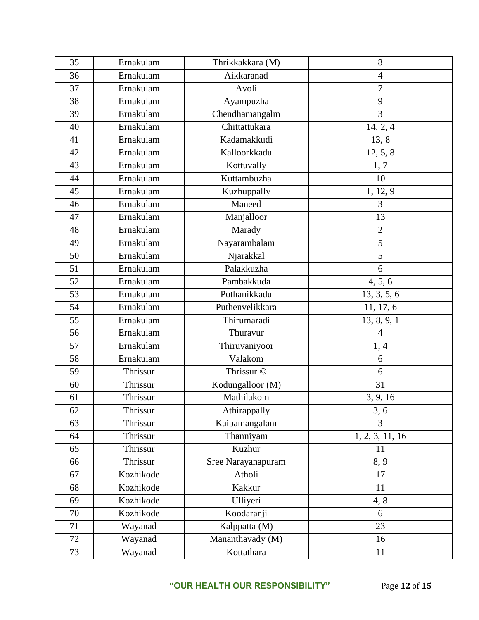| 35 | Ernakulam | Thrikkakkara (M)   | 8               |
|----|-----------|--------------------|-----------------|
| 36 | Ernakulam | Aikkaranad         | $\overline{4}$  |
| 37 | Ernakulam | Avoli              | $\overline{7}$  |
| 38 | Ernakulam | Ayampuzha          | 9               |
| 39 | Ernakulam | Chendhamangalm     | 3               |
| 40 | Ernakulam | Chittattukara      | 14, 2, 4        |
| 41 | Ernakulam | Kadamakkudi        | 13, 8           |
| 42 | Ernakulam | Kalloorkkadu       | 12, 5, 8        |
| 43 | Ernakulam | Kottuvally         | 1, 7            |
| 44 | Ernakulam | Kuttambuzha        | 10              |
| 45 | Ernakulam | Kuzhuppally        | 1, 12, 9        |
| 46 | Ernakulam | Maneed             | 3               |
| 47 | Ernakulam | Manjalloor         | 13              |
| 48 | Ernakulam | Marady             | $\overline{2}$  |
| 49 | Ernakulam | Nayarambalam       | $\overline{5}$  |
| 50 | Ernakulam | Njarakkal          | 5               |
| 51 | Ernakulam | Palakkuzha         | 6               |
| 52 | Ernakulam | Pambakkuda         | 4, 5, 6         |
| 53 | Ernakulam | Pothanikkadu       | 13, 3, 5, 6     |
| 54 | Ernakulam | Puthenvelikkara    | 11, 17, 6       |
| 55 | Ernakulam | Thirumaradi        | 13, 8, 9, 1     |
| 56 | Ernakulam | Thuravur           | $\overline{4}$  |
| 57 | Ernakulam | Thiruvaniyoor      | 1,4             |
| 58 | Ernakulam | Valakom            | 6               |
| 59 | Thrissur  | Thrissur ©         | 6               |
| 60 | Thrissur  | Kodungalloor (M)   | 31              |
| 61 | Thrissur  | Mathilakom         | 3, 9, 16        |
| 62 | Thrissur  | Athirappally       | 3, 6            |
| 63 | Thrissur  | Kaipamangalam      | $\overline{3}$  |
| 64 | Thrissur  | Thanniyam          | 1, 2, 3, 11, 16 |
| 65 | Thrissur  | Kuzhur             | 11              |
| 66 | Thrissur  | Sree Narayanapuram | 8, 9            |
| 67 | Kozhikode | Atholi             | 17              |
| 68 | Kozhikode | Kakkur             | 11              |
| 69 | Kozhikode | Ulliyeri           | 4, 8            |
| 70 | Kozhikode | Koodaranji         | 6               |
| 71 | Wayanad   | Kalppatta (M)      | 23              |
| 72 | Wayanad   | Mananthavady (M)   | 16              |
| 73 | Wayanad   | Kottathara         | 11              |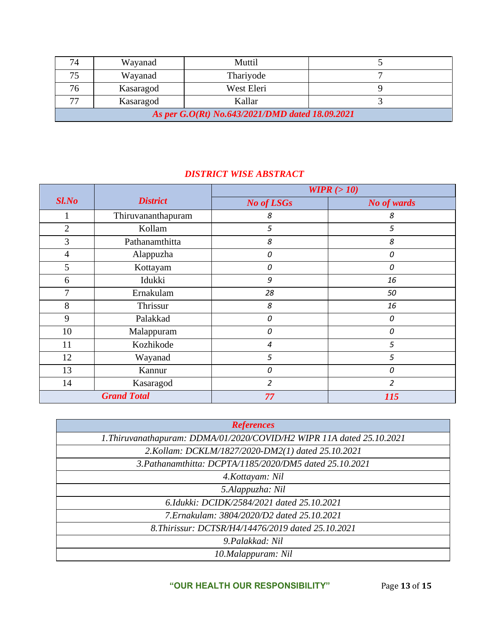| 74                                              | Wayanad   | Muttil     |  |
|-------------------------------------------------|-----------|------------|--|
| 75                                              | Wayanad   | Thariyode  |  |
| 76                                              | Kasaragod | West Eleri |  |
| 77                                              | Kasaragod | Kallar     |  |
| As per G.O(Rt) No.643/2021/DMD dated 18.09.2021 |           |            |  |

# *DISTRICT WISE ABSTRACT*

|                |                    | WIPR $(>10)$      |                |
|----------------|--------------------|-------------------|----------------|
| $Sl$ .No       | <b>District</b>    | <b>No of LSGs</b> | No of wards    |
|                | Thiruvananthapuram | 8                 | 8              |
| $\overline{2}$ | Kollam             | 5                 | 5              |
| 3              | Pathanamthitta     | 8                 | 8              |
| $\overline{4}$ | Alappuzha          | 0                 | 0              |
| 5              | Kottayam           | 0                 | $\Omega$       |
| 6              | Idukki             | 9                 | 16             |
| 7              | Ernakulam          | 28                | 50             |
| 8              | Thrissur           | 8                 | 16             |
| 9              | Palakkad           | 0                 | 0              |
| 10             | Malappuram         | 0                 | 0              |
| 11             | Kozhikode          | 4                 | 5              |
| 12             | Wayanad            | 5                 | 5              |
| 13             | Kannur             | 0                 | 0              |
| 14             | Kasaragod          | $\overline{2}$    | $\overline{2}$ |
|                | <b>Grand Total</b> | 77                | 115            |

| <b>References</b>                                                     |
|-----------------------------------------------------------------------|
| 1. Thiruvanathapuram: DDMA/01/2020/COVID/H2 WIPR 11A dated 25.10.2021 |
| 2. Kollam: DCKLM/1827/2020-DM2(1) dated 25.10.2021                    |
| 3. Pathanamthitta: DCPTA/1185/2020/DM5 dated 25.10.2021               |
| 4. Kottayam: Nil                                                      |
| 5.Alappuzha: Nil                                                      |
| 6.Idukki: DCIDK/2584/2021 dated 25.10.2021                            |
| 7. Ernakulam: 3804/2020/D2 dated 25.10.2021                           |
| 8. Thirissur: DCTSR/H4/14476/2019 dated 25.10.2021                    |
| 9. Palakkad: Nil                                                      |
| 10.Malappuram: Nil                                                    |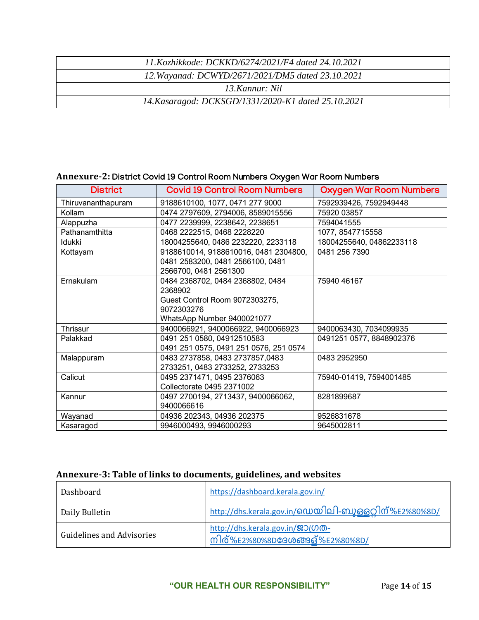| 11.Kozhikkode: DCKKD/6274/2021/F4 dated 24.10.2021  |  |
|-----------------------------------------------------|--|
| 12. Wayanad: DCWYD/2671/2021/DM5 dated 23.10.2021   |  |
| 13 Kannur: Nil                                      |  |
| 14. Kasaragod: DCKSGD/1331/2020-K1 dated 25.10.2021 |  |

## **Annexure-2:** District Covid 19 Control Room Numbers Oxygen War Room Numbers

| <b>District</b>    | <b>Covid 19 Control Room Numbers</b>   | <b>Oxygen War Room Numbers</b> |
|--------------------|----------------------------------------|--------------------------------|
| Thiruvananthapuram | 9188610100, 1077, 0471 277 9000        | 7592939426, 7592949448         |
| Kollam             | 0474 2797609, 2794006, 8589015556      | 75920 03857                    |
| Alappuzha          | 0477 2239999, 2238642, 2238651         | 7594041555                     |
| Pathanamthitta     | 0468 2222515, 0468 2228220             | 1077, 8547715558               |
| Idukki             | 18004255640, 0486 2232220, 2233118     | 18004255640, 04862233118       |
| Kottayam           | 9188610014, 9188610016, 0481 2304800,  | 0481 256 7390                  |
|                    | 0481 2583200, 0481 2566100, 0481       |                                |
|                    | 2566700, 0481 2561300                  |                                |
| Ernakulam          | 0484 2368702, 0484 2368802, 0484       | 75940 46167                    |
|                    | 2368902                                |                                |
|                    | Guest Control Room 9072303275,         |                                |
|                    | 9072303276                             |                                |
|                    | WhatsApp Number 9400021077             |                                |
| Thrissur           | 9400066921, 9400066922, 9400066923     | 9400063430, 7034099935         |
| Palakkad           | 0491 251 0580, 04912510583             | 0491251 0577, 8848902376       |
|                    | 0491 251 0575, 0491 251 0576, 251 0574 |                                |
| Malappuram         | 0483 2737858, 0483 2737857,0483        | 0483 2952950                   |
|                    | 2733251, 0483 2733252, 2733253         |                                |
| Calicut            | 0495 2371471, 0495 2376063             | 75940-01419, 7594001485        |
|                    | Collectorate 0495 2371002              |                                |
| Kannur             | 0497 2700194, 2713437, 9400066062,     | 8281899687                     |
|                    | 9400066616                             |                                |
| Wayanad            | 04936 202343, 04936 202375             | 9526831678                     |
| Kasaragod          | 9946000493, 9946000293                 | 9645002811                     |

## **Annexure-3: Table of links to documents, guidelines, and websites**

| Dashboard                        | https://dashboard.kerala.gov.in/                                            |
|----------------------------------|-----------------------------------------------------------------------------|
| Daily Bulletin                   | http://dhs.kerala.gov.in/0 ഡയിലി-ബുള്ളറ്റിന്%E2%80%8D/                      |
| <b>Guidelines and Advisories</b> | http://dhs.kerala.gov.in/231000-<br>നിര്%E2%80%8D <b>ദേശങ്ങള്%E2%80%8D/</b> |